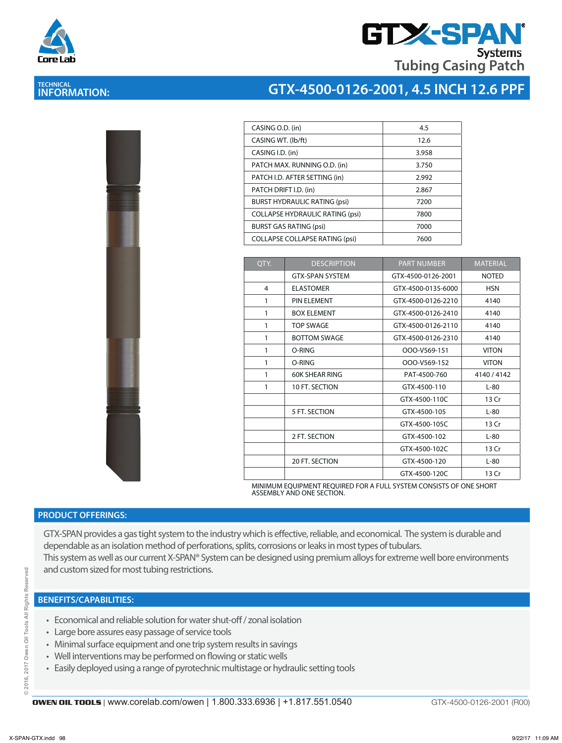

**TECHNICAL INFORMATION:** 

# **GTX-SPA Tubing Casing Patch Systems**

# **GTX-4500-0126-2001, 4.5 INCH 12.6 PPF**

| CASING O.D. (in)                       | 4.5   |
|----------------------------------------|-------|
| CASING WT. (lb/ft)                     | 12.6  |
| CASING I.D. (in)                       | 3.958 |
| PATCH MAX. RUNNING O.D. (in)           | 3.750 |
| PATCH I.D. AFTER SETTING (in)          | 2.992 |
| PATCH DRIFT I.D. (in)                  | 2.867 |
| <b>BURST HYDRAULIC RATING (psi)</b>    | 7200  |
| <b>COLLAPSE HYDRAULIC RATING (psi)</b> | 7800  |
| <b>BURST GAS RATING (psi)</b>          | 7000  |
| <b>COLLAPSE COLLAPSE RATING (psi)</b>  | 7600  |
|                                        |       |

| OTY. | <b>DESCRIPTION</b>     | <b>PART NUMBER</b>           | <b>MATERIAL</b> |
|------|------------------------|------------------------------|-----------------|
|      | <b>GTX-SPAN SYSTEM</b> | GTX-4500-0126-2001           | <b>NOTED</b>    |
| 4    | <b>ELASTOMER</b>       | GTX-4500-0135-6000           | <b>HSN</b>      |
| 1    | <b>PIN ELEMENT</b>     | GTX-4500-0126-2210           | 4140            |
| 1    | <b>BOX ELEMENT</b>     | GTX-4500-0126-2410           | 4140            |
| 1    | <b>TOP SWAGE</b>       | GTX-4500-0126-2110           | 4140            |
| 1    | <b>BOTTOM SWAGE</b>    | GTX-4500-0126-2310           | 4140            |
| 1    | O-RING                 | OOO-V569-151                 | <b>VITON</b>    |
| 1    | O-RING                 | <b>VITON</b><br>OOO-V569-152 |                 |
| 1    | <b>60K SHEAR RING</b>  | PAT-4500-760<br>4140 / 4142  |                 |
| 1    | 10 FT. SECTION         | GTX-4500-110                 | $L-80$          |
|      |                        | GTX-4500-110C                | 13 Cr           |
|      | 5 FT. SECTION          | GTX-4500-105                 | $L-80$          |
|      |                        | GTX-4500-105C                | 13 Cr           |
|      | 2 FT. SECTION          | GTX-4500-102                 | $L-80$          |
|      |                        | GTX-4500-102C                | 13 Cr           |
|      | 20 FT. SECTION         | GTX-4500-120                 | $L-80$          |
|      |                        | GTX-4500-120C                | 13 Cr           |

MINIMUM EQUIPMENT REQUIRED FOR A FULL SYSTEM CONSISTS OF ONE SHORT ASSEMBLY AND ONE SECTION.

### **PRODUCT OFFERINGS:**

GTX-SPAN provides a gas tight system to the industry which is effective, reliable, and economical. The system is durable and dependable as an isolation method of perforations, splits, corrosions or leaks in most types of tubulars. This system as well as our current X-SPAN® System can be designed using premium alloys for extreme well bore environments and custom sized for most tubing restrictions.

#### **BENEFITS/CAPABILITIES:**

- Economical and reliable solution for water shut-off / zonal isolation
- Large bore assures easy passage of service tools
- Minimal surface equipment and one trip system results in savings
- Well interventions may be performed on flowing or static wells
- Easily deployed using a range of pyrotechnic multistage or hydraulic setting tools

ă

GTX-4500-0126-2001 (R00)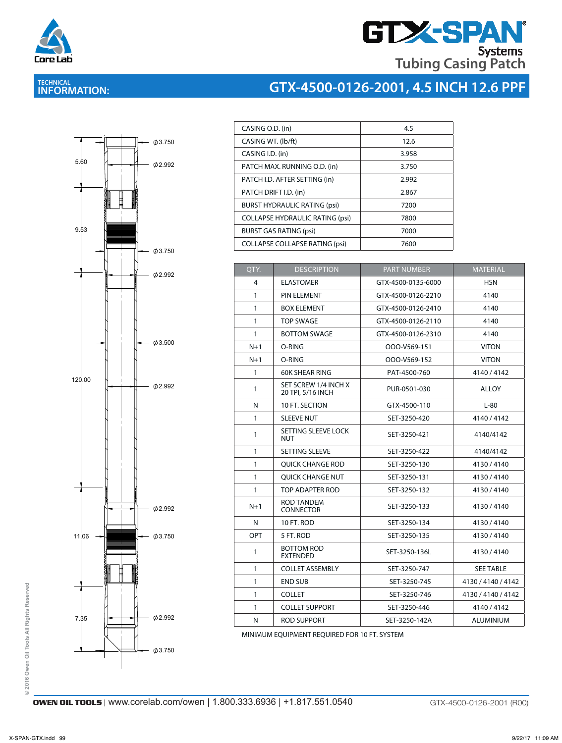

# **GTX-SPAN Tubing Casing Patch**

## **TECHNICAL INFORMATION:**





| CASING O.D. (in)                       | 4.5   |
|----------------------------------------|-------|
| CASING WT. (lb/ft)                     | 12.6  |
| CASING I.D. (in)                       | 3.958 |
| PATCH MAX. RUNNING O.D. (in)           | 3.750 |
| PATCH I.D. AFTER SETTING (in)          | 2.992 |
| PATCH DRIFT I.D. (in)                  | 2.867 |
| <b>BURST HYDRAULIC RATING (psi)</b>    | 7200  |
| <b>COLLAPSE HYDRAULIC RATING (psi)</b> | 7800  |
| <b>BURST GAS RATING (psi)</b>          | 7000  |
| <b>COLLAPSE COLLAPSE RATING (psi)</b>  | 7600  |
|                                        |       |

| QTY.         | <b>DESCRIPTION</b><br><b>PART NUMBER</b>                                                |                    | <b>MATERIAL</b>    |  |
|--------------|-----------------------------------------------------------------------------------------|--------------------|--------------------|--|
| 4            | <b>ELASTOMER</b><br>GTX-4500-0135-6000                                                  |                    | <b>HSN</b>         |  |
| $\mathbf{1}$ | PIN ELEMENT                                                                             | GTX-4500-0126-2210 | 4140               |  |
| 1            | <b>BOX ELEMENT</b>                                                                      | GTX-4500-0126-2410 | 4140               |  |
| 1            | <b>TOP SWAGE</b>                                                                        | GTX-4500-0126-2110 | 4140               |  |
| 1            | <b>BOTTOM SWAGE</b>                                                                     | GTX-4500-0126-2310 | 4140               |  |
| $N+1$        | O-RING                                                                                  | OOO-V569-151       | <b>VITON</b>       |  |
| $N+1$        | O-RING                                                                                  | OOO-V569-152       | <b>VITON</b>       |  |
| 1            | <b>60K SHEAR RING</b>                                                                   | PAT-4500-760       | 4140 / 4142        |  |
| 1            | SET SCREW 1/4 INCH X<br>20 TPI, 5/16 INCH                                               | PUR-0501-030       | <b>ALLOY</b>       |  |
| N            | 10 FT. SECTION                                                                          | GTX-4500-110       | $L-80$             |  |
| $\mathbf{1}$ | <b>SLEEVE NUT</b>                                                                       | SET-3250-420       | 4140/4142          |  |
| 1            | SETTING SLEEVE LOCK<br>SET-3250-421<br>NUT                                              |                    | 4140/4142          |  |
| 1            | SETTING SLEEVE                                                                          | SET-3250-422       | 4140/4142          |  |
| 1            | <b>OUICK CHANGE ROD</b>                                                                 | SET-3250-130       | 4130/4140          |  |
| 1            | <b>OUICK CHANGE NUT</b>                                                                 | SET-3250-131       | 4130/4140          |  |
| 1            | TOP ADAPTER ROD                                                                         | SET-3250-132       | 4130/4140          |  |
| $N+1$        | <b>ROD TANDEM</b><br><b>CONNECTOR</b>                                                   | SET-3250-133       |                    |  |
| N            | 10 FT. ROD                                                                              | SET-3250-134       | 4130/4140          |  |
| OPT          | 5 FT. ROD<br>SET-3250-135<br><b>BOTTOM ROD</b><br>1<br>SET-3250-136L<br><b>EXTENDED</b> |                    | 4130/4140          |  |
|              |                                                                                         |                    | 4130/4140          |  |
| 1            | <b>COLLET ASSEMBLY</b>                                                                  | SET-3250-747       | <b>SEE TABLE</b>   |  |
| 1            | <b>END SUB</b>                                                                          | SET-3250-745       | 4130 / 4140 / 4142 |  |
| 1            | <b>COLLET</b>                                                                           | SET-3250-746       | 4130 / 4140 / 4142 |  |
| 1            | <b>COLLET SUPPORT</b>                                                                   | SET-3250-446       | 4140 / 4142        |  |
| N            | <b>ROD SUPPORT</b>                                                                      | SET-3250-142A      | <b>ALUMINIUM</b>   |  |

MINIMUM EQUIPMENT REQUIRED FOR 10 FT. SYSTEM

© 2016 Owen Oil Tools All Rights Reserved **© 2016 Owen Oil Tools All Rights Reserved**